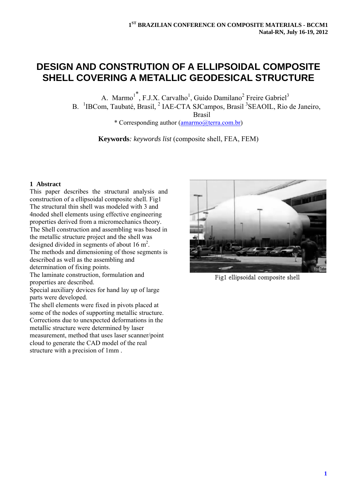# **DESIGN AND CONSTRUTION OF A ELLIPSOIDAL COMPOSITE SHELL COVERING A METALLIC GEODESICAL STRUCTURE**

A. Marmo<sup>1\*</sup>, F.J.X. Carvalho<sup>1</sup>, Guido Damilano<sup>2</sup> Freire Gabriel<sup>3</sup> B. <sup>1</sup>IBCom, Taubaté, Brasil, <sup>2</sup> IAE-CTA SJCampos, Brasil<sup>3</sup>SEAOIL, Rio de Janeiro,

Brasil

\* Corresponding author (amarmo@terra.com.br)

**Keywords***: keywords list* (composite shell, FEA, FEM)

#### **1 Abstract**

This paper describes the structural analysis and construction of a ellipsoidal composite shell. Fig1 The structural thin shell was modeled with 3 and 4noded shell elements using effective engineering properties derived from a micromechanics theory. The Shell construction and assembling was based in the metallic structure project and the shell was designed divided in segments of about  $16 \text{ m}^2$ . The methods and dimensioning of those segments is described as well as the assembling and determination of fixing points.

The laminate construction, formulation and properties are described.

Special auxiliary devices for hand lay up of large parts were developed.

The shell elements were fixed in pivots placed at some of the nodes of supporting metallic structure. Corrections due to unexpected deformations in the metallic structure were determined by laser measurement, method that uses laser scanner/point cloud to generate the CAD model of the real structure with a precision of 1mm .



Fig1 ellipsoidal composite shell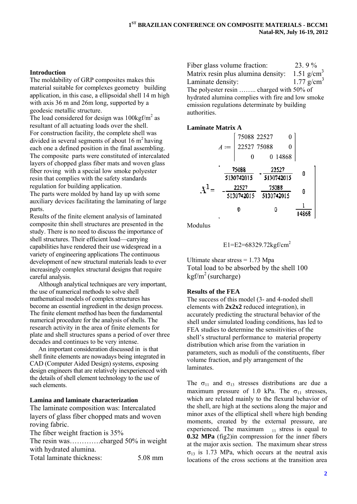## **Introduction**

The moldability of GRP composites makes this material suitable for complexes geometry building application, in this case, a ellipsoidal shell 14 m high with axis 36 m and 26m long, supported by a geodesic metallic structure.

The load considered for design was  $100\text{kgf/m}^2$  as resultant of all actuating loads over the shell. For construction facility, the complete shell was divided in several segments of about  $16 \text{ m}^2$  having each one a defined position in the final assembling. The composite parts were constituted of intercalated layers of chopped glass fiber mats and woven glass fiber roving with a special low smoke polyester resin that complies with the safety standards regulation for building application.

The parts were molded by hand lay up with some auxiliary devices facilitating the laminating of large parts.

Results of the finite element analysis of laminated composite thin shell structures are presented in the study. There is no need to discuss the importance of shell structures. Their efficient load—carrying capabilities have rendered their use widespread in a variety of engineering applications The continuous development of new structural materials leads to ever increasingly complex structural designs that require careful analysis.

Although analytical techniques are very important, the use of numerical methods to solve shell mathematical models of complex structures has become an essential ingredient in the design process. The finite element method has been the fundamental numerical procedure for the analysis of shells. The research activity in the area of finite elements for plate and shell structures spans a period of over three decades and continues to be very intense.

An important consideration discussed in is that shell finite elements are nowadays being integrated in CAD (Computer Aided Design) systems, exposing design engineers that are relatively inexperienced with the details of shell element technology to the use of such elements

#### Lamina and laminate characterization

The laminate composition was: Intercalated layers of glass fiber chopped mats and woven roving fabric.

The fiber weight fraction is 35% The resin was...........charged 50% in weight with hydrated alumina.

Total laminate thickness: 5.08 mm Fiber glass volume fraction: 23.9% 1.51  $g/cm^3$ Matrix resin plus alumina density: Laminate density: 1.77  $g/cm^{3}$ The polyester resin ........ charged with 50% of hydrated alumina complies with fire and low smoke emission regulations determinate by building authorities.

#### **Laminate Matrix A**

$$
A := \begin{bmatrix} 75088 & 22527 & 0 \\ 22527 & 75088 & 0 \\ 0 & 0 & 14868 \end{bmatrix}
$$

$$
\begin{bmatrix} \frac{75088}{5130742015} & -\frac{22527}{5130742015} & 0 \\ -\frac{22527}{5130742015} & \frac{75088}{5130742015} & 0 \\ 0 & 0 & \frac{1}{14868} \end{bmatrix}
$$

Modulus

$$
E1 = E2 = 68329.72 \text{kgf/cm}^2
$$

Ultimate shear stress  $= 1.73$  Mpa Total load to be absorbed by the shell 100  $\text{kgf/m}^2$  (surcharge)

#### **Results of the FEA**

The success of this model (3- and 4-noded shell elements with  $2x2x2$  reduced integration), in accurately predicting the structural behavior of the shell under simulated loading conditions, has led to FEA studies to determine the sensitivities of the shell's structural performance to material property distribution which arise from the variation in parameters, such as moduli of the constituents, fiber volume fraction, and ply arrangement of the laminates.

The  $\sigma_{11}$  and  $\sigma_{13}$  stresses distributions are due a maximum pressure of 1.0 kPa. The  $\sigma_{11}$  stresses, which are related mainly to the flexural behavior of the shell, are high at the sections along the major and minor axes of the elliptical shell where high bending moments, created by the external pressure, are experienced. The maximum  $_{11}$  stress is equal to  $0.32$  MPa (fig2)in compression for the inner fibers at the major axis section. The maximum shear stress  $\sigma_{13}$  is 1.73 MPa, which occurs at the neutral axis locations of the cross sections at the transition area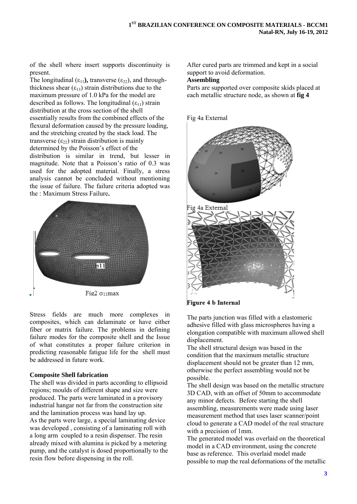of the shell where insert supports discontinuity is present.

The longitudinal  $(\epsilon_{11})$ , transverse  $(\epsilon_{22})$ , and throughthickness shear  $(\epsilon_{13})$  strain distributions due to the maximum pressure of 1.0 kPa for the model are described as follows. The longitudinal  $(\epsilon_{11})$  strain distribution at the cross section of the shell essentially results from the combined effects of the flexural deformation caused by the pressure loading, and the stretching created by the stack load. The transverse  $(\epsilon_{22})$  strain distribution is mainly determined by the Poisson's effect of the distribution is similar in trend, but lesser in magnitude. Note that a Poisson's ratio of 0.3 was used for the adopted material. Finally, a stress analysis cannot be concluded without mentioning the issue of failure. The failure criteria adopted was the : Maximum Stress Failure**.** 



Stress fields are much more complexes in composites, which can delaminate or have either fiber or matrix failure. The problems in defining failure modes for the composite shell and the Issue of what constitutes a proper failure criterion in predicting reasonable fatigue life for the shell must be addressed in future work.

## **Composite Shell fabrication**

The shell was divided in parts according to ellipsoid regions; moulds of different shape and size were produced. The parts were laminated in a provisory industrial hangar not far from the construction site and the lamination process was hand lay up. As the parts were large, a special laminating device was developed , consisting of a laminating roll with a long arm coupled to a resin dispenser. The resin already mixed with alumina is picked by a metering pump, and the catalyst is dosed proportionally to the resin flow before dispensing in the roll.

After cured parts are trimmed and kept in a social support to avoid deformation.

# **Assembling**

Parts are supported over composite skids placed at each metallic structure node, as shown at **fig 4**

Fig 4a External



Figure 4 b Internal

The parts junction was filled with a elastomeric adhesive filled with glass microspheres having a elongation compatible with maximum allowed shell displacement.

The shell structural design was based in the condition that the maximum metallic structure displacement should not be greater than 12 mm, otherwise the perfect assembling would not be possible.

The shell design was based on the metallic structure 3D CAD, with an offset of 50mm to accommodate any minor defects. Before starting the shell assembling, measurements were made using laser measurement method that uses laser scanner/point cloud to generate a CAD model of the real structure with a precision of 1mm.

The generated model was overlaid on the theoretical model in a CAD environment, using the concrete base as reference. This overlaid model made possible to map the real deformations of the metallic